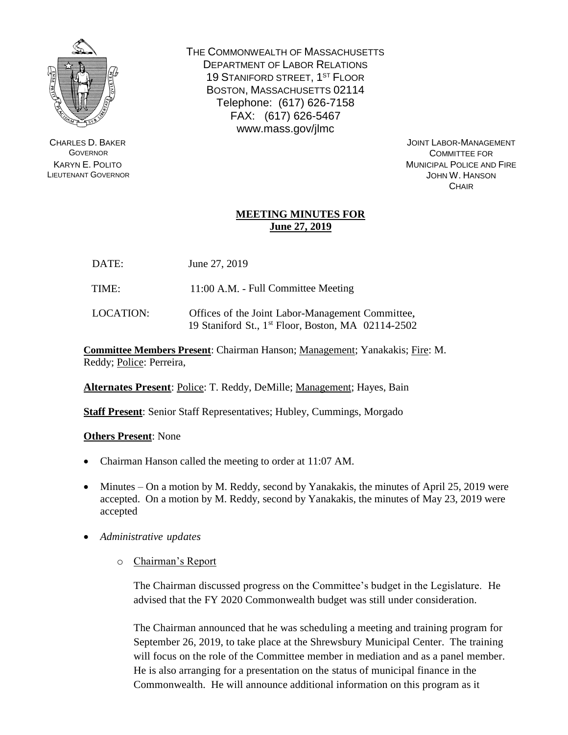

CHARLES D. BAKER **GOVERNOR** KARYN E. POLITO LIEUTENANT GOVERNOR THE COMMONWEALTH OF MASSACHUSETTS DEPARTMENT OF LABOR RELATIONS 19 STANIFORD STREET, 1<sup>ST</sup> FLOOR BOSTON, MASSACHUSETTS 02114 Telephone: (617) 626-7158 FAX: (617) 626-5467 www.mass.gov/jlmc

> JOINT LABOR-MANAGEMENT COMMITTEE FOR MUNICIPAL POLICE AND FIRE JOHN W. HANSON **CHAIR**

## **MEETING MINUTES FOR June 27, 2019**

DATE: June 27, 2019

TIME: 11:00 A.M. - Full Committee Meeting

LOCATION: Offices of the Joint Labor-Management Committee, 19 Staniford St., 1 st Floor, Boston, MA 02114-2502

**Committee Members Present**: Chairman Hanson; Management; Yanakakis; Fire: M. Reddy; Police: Perreira,

**Alternates Present**: Police: T. Reddy, DeMille; Management; Hayes, Bain

**Staff Present**: Senior Staff Representatives; Hubley, Cummings, Morgado

## **Others Present**: None

- Chairman Hanson called the meeting to order at 11:07 AM.
- Minutes On a motion by M. Reddy, second by Yanakakis, the minutes of April 25, 2019 were accepted. On a motion by M. Reddy, second by Yanakakis, the minutes of May 23, 2019 were accepted
- *Administrative updates*
	- o Chairman's Report

The Chairman discussed progress on the Committee's budget in the Legislature. He advised that the FY 2020 Commonwealth budget was still under consideration.

The Chairman announced that he was scheduling a meeting and training program for September 26, 2019, to take place at the Shrewsbury Municipal Center. The training will focus on the role of the Committee member in mediation and as a panel member. He is also arranging for a presentation on the status of municipal finance in the Commonwealth. He will announce additional information on this program as it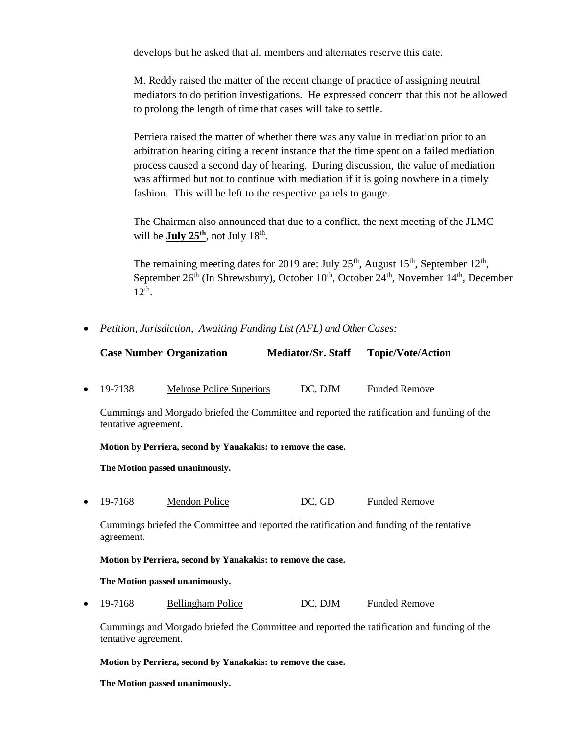develops but he asked that all members and alternates reserve this date.

M. Reddy raised the matter of the recent change of practice of assigning neutral mediators to do petition investigations. He expressed concern that this not be allowed to prolong the length of time that cases will take to settle.

Perriera raised the matter of whether there was any value in mediation prior to an arbitration hearing citing a recent instance that the time spent on a failed mediation process caused a second day of hearing. During discussion, the value of mediation was affirmed but not to continue with mediation if it is going nowhere in a timely fashion. This will be left to the respective panels to gauge.

The Chairman also announced that due to a conflict, the next meeting of the JLMC will be **July 25<sup>th</sup>**, not July 18<sup>th</sup>.

The remaining meeting dates for 2019 are: July  $25<sup>th</sup>$ , August 15<sup>th</sup>, September 12<sup>th</sup>, September  $26<sup>th</sup>$  (In Shrewsbury), October  $10<sup>th</sup>$ , October  $24<sup>th</sup>$ , November  $14<sup>th</sup>$ , December  $12<sup>th</sup>$ .

• *Petition, Jurisdiction, Awaiting Funding List (AFL) and Other Cases:*

| <b>Case Number Organization</b> | <b>Mediator/Sr. Staff</b> | <b>Topic/Vote/Action</b> |
|---------------------------------|---------------------------|--------------------------|
|                                 |                           |                          |

• 19-7138 Melrose Police Superiors DC, DJM Funded Remove

Cummings and Morgado briefed the Committee and reported the ratification and funding of the tentative agreement.

**Motion by Perriera, second by Yanakakis: to remove the case.**

**The Motion passed unanimously.**

• 19-7168 Mendon Police DC, GD Funded Remove

Cummings briefed the Committee and reported the ratification and funding of the tentative agreement.

## **Motion by Perriera, second by Yanakakis: to remove the case.**

## **The Motion passed unanimously.**

• 19-7168 Bellingham Police DC, DJM Funded Remove

Cummings and Morgado briefed the Committee and reported the ratification and funding of the tentative agreement.

**Motion by Perriera, second by Yanakakis: to remove the case.**

**The Motion passed unanimously.**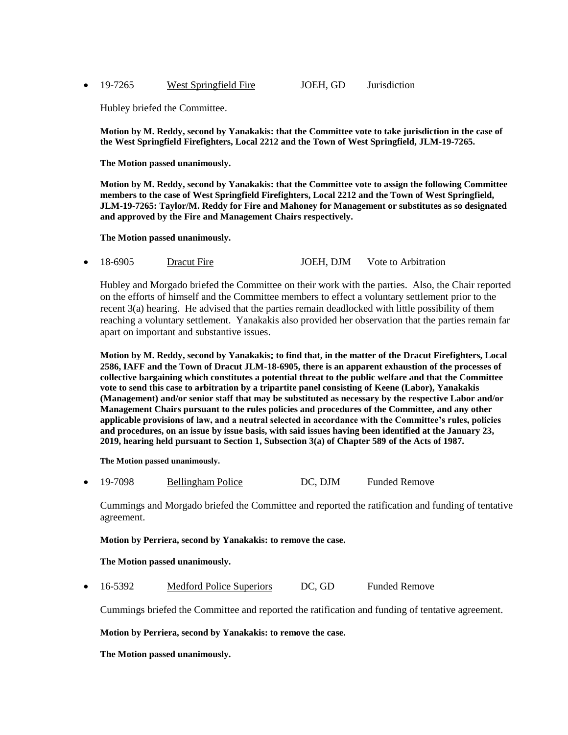• 19-7265 West Springfield Fire JOEH, GD Jurisdiction

Hubley briefed the Committee.

**Motion by M. Reddy, second by Yanakakis: that the Committee vote to take jurisdiction in the case of the West Springfield Firefighters, Local 2212 and the Town of West Springfield, JLM-19-7265.**

**The Motion passed unanimously.**

**Motion by M. Reddy, second by Yanakakis: that the Committee vote to assign the following Committee members to the case of West Springfield Firefighters, Local 2212 and the Town of West Springfield, JLM-19-7265: Taylor/M. Reddy for Fire and Mahoney for Management or substitutes as so designated and approved by the Fire and Management Chairs respectively.**

**The Motion passed unanimously.**

18-6905 Dracut Fire JOEH, DJM Vote to Arbitration

Hubley and Morgado briefed the Committee on their work with the parties. Also, the Chair reported on the efforts of himself and the Committee members to effect a voluntary settlement prior to the recent 3(a) hearing. He advised that the parties remain deadlocked with little possibility of them reaching a voluntary settlement. Yanakakis also provided her observation that the parties remain far apart on important and substantive issues.

**Motion by M. Reddy, second by Yanakakis**: **to find that, in the matter of the Dracut Firefighters, Local 2586, IAFF and the Town of Dracut JLM-18-6905, there is an apparent exhaustion of the processes of collective bargaining which constitutes a potential threat to the public welfare and that the Committee vote to send this case to arbitration by a tripartite panel consisting of Keene (Labor), Yanakakis (Management) and/or senior staff that may be substituted as necessary by the respective Labor and/or Management Chairs pursuant to the rules policies and procedures of the Committee, and any other applicable provisions of law, and a neutral selected in accordance with the Committee's rules, policies and procedures, on an issue by issue basis, with said issues having been identified at the January 23, 2019, hearing held pursuant to Section 1, Subsection 3(a) of Chapter 589 of the Acts of 1987.**

**The Motion passed unanimously.**

• 19-7098 Bellingham Police DC, DJM Funded Remove

Cummings and Morgado briefed the Committee and reported the ratification and funding of tentative agreement.

**Motion by Perriera, second by Yanakakis: to remove the case.**

**The Motion passed unanimously.**

16-5392 Medford Police Superiors DC, GD Funded Remove

Cummings briefed the Committee and reported the ratification and funding of tentative agreement.

**Motion by Perriera, second by Yanakakis: to remove the case.**

**The Motion passed unanimously.**